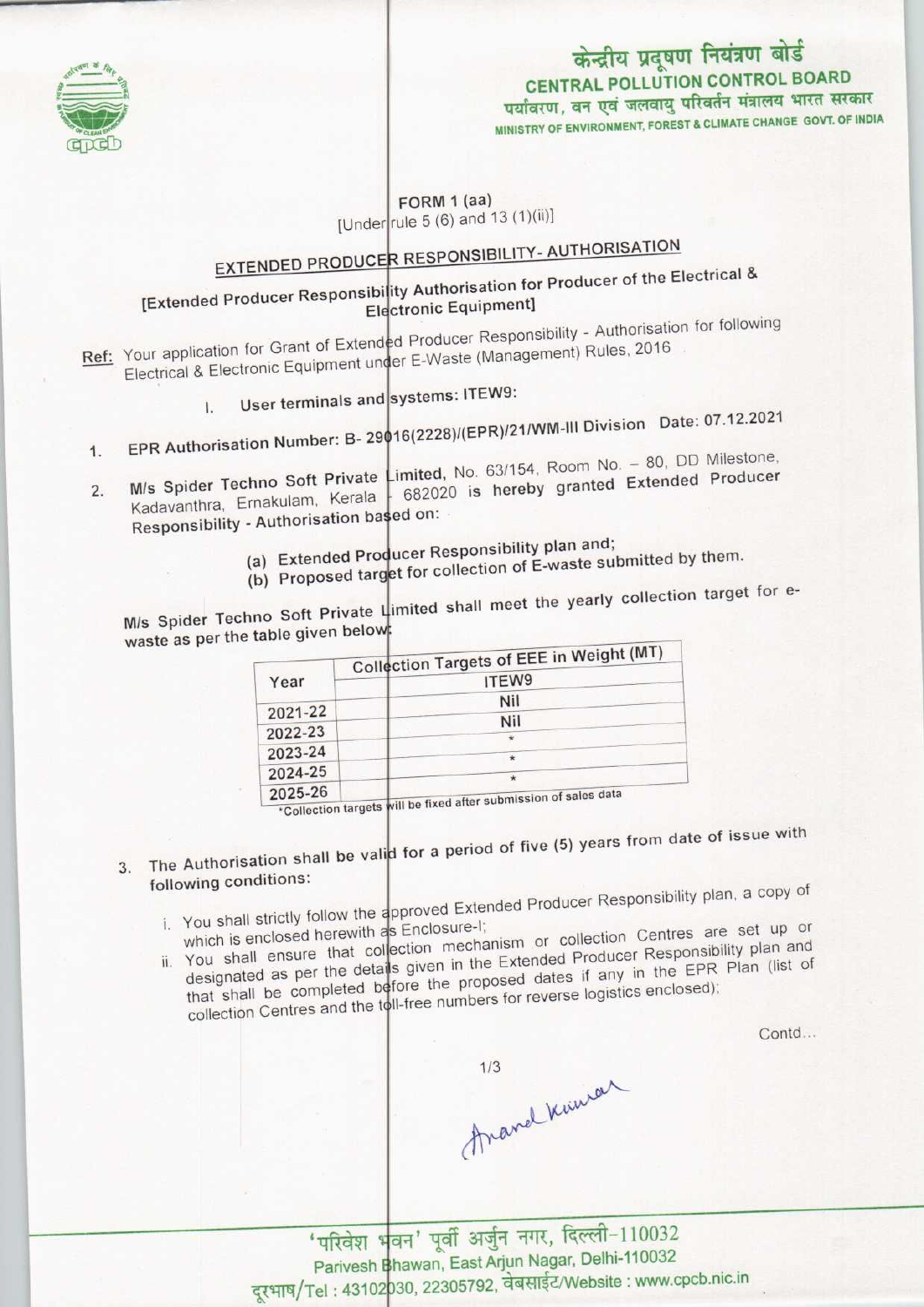

# पर्यावरण, वन एवं जलवायु परिवर्तन मंत्रालय भारत सरकार<br>MINISTRY OF ENVIRONMENT, FOREST & CLIMATE CHANGE GOVT. OF INDIA केन्द्रीय प्रदूषण नियंत्रण बोर्ड<br>CENTRAL POLLUTION CONTROL BOARD

### FORM 1 (aa) [Under rule 5 (6) and 13 (1)(ii)]

#### **RESPONSIBILITY- AUTHORISATION** EXTENDED PRODU

## EXTENDED PRODUCER RESPONSED for Producer of the Electrical & Electronic Equipment]

- Electronic Equipments of Authorisation for following Your application for Grant of Extended Producer Responsibility - Authorisation<br>E-Waste (Management) Rules, 2016 Electrical & Electronic Equipment under E-Waste (Management) Rules, 2016<br>
I. User terminals and systems: ITEW9:
	-
- I16(2228)/(EPR)/21/WM-Ill Division Date: 07.12.2021 1. EPR Authorisation Number: B- 29'
- M/s Spider Techno Soft Private  $\leftarrow$  imited, No. 63/154, Room No. 80, DD Milestone, Kadavanthra, Ernakulam, Kerala 682020 is hereby granted Extended Producer<br>Responsibility - Authorisation based on: 16(2220) (Li 11) - 1111<br>initial No. 63/154, Room No. - 80, DD Milestone 2. M/s Spider Techno Soft Private
	-
	- (a) Extended Producer Responsibility plan and; (b) Proposed target for collection of E-waste submitted by them.
	-

M/s Spider Techno Soft Private Limited shall meet the yearly collection target for ewaste as per the table given below:

|                    | Collection Targets of EEE in Weight (MT) |
|--------------------|------------------------------------------|
| Year               | ITEW9                                    |
|                    | Nil                                      |
| 2021-22            | Nil                                      |
| 2022-23            | $\star$                                  |
| 2023-24            | $\star$                                  |
| 2024-25<br>OODE OF | $\star$<br><b>CALL AND</b>               |

025-26 <u>Inclusion of sales data after submission of sales data</u> 2025-26 <sup>1</sup>

- The Authorisation shall be valid for a period of five (5) years from date of issue with 3. following conditions:
	- illowing conditions:<br>The above Responsibility plan, a copy of You shall strictly follow the approved Exercise i. You shall strictly follow the approved Enter-<br>which is enclosed herewith as Enclosure-I;<br>in or, collection Centres are set up or
	- which is enclosed herewith as Enclosure in the collection. Centres are set up of designated as per the details given in the Extended Producer Responsibility plan and<br>that shall be completed before the proposed dates if any in the EPR Plan (list of<br>collection Centres and the toll-free numbers for revers that shall be completed before the proposed dates if any in the EPR Plan (list of

Contd...

1/3<br>Ananal Kuman

'परिवेश भवन' पूर्वी अर्जुन नगर, दिल्ली-110032 Parivesh Bhawan, East Arjun Nagar, Delhi-110032 Parivesh Bhawan, East Arjun Nagar, Delhi-110032<br>Tel : 43102030, 22305792, वेबसाईट/Website : www.cpcb.nic.in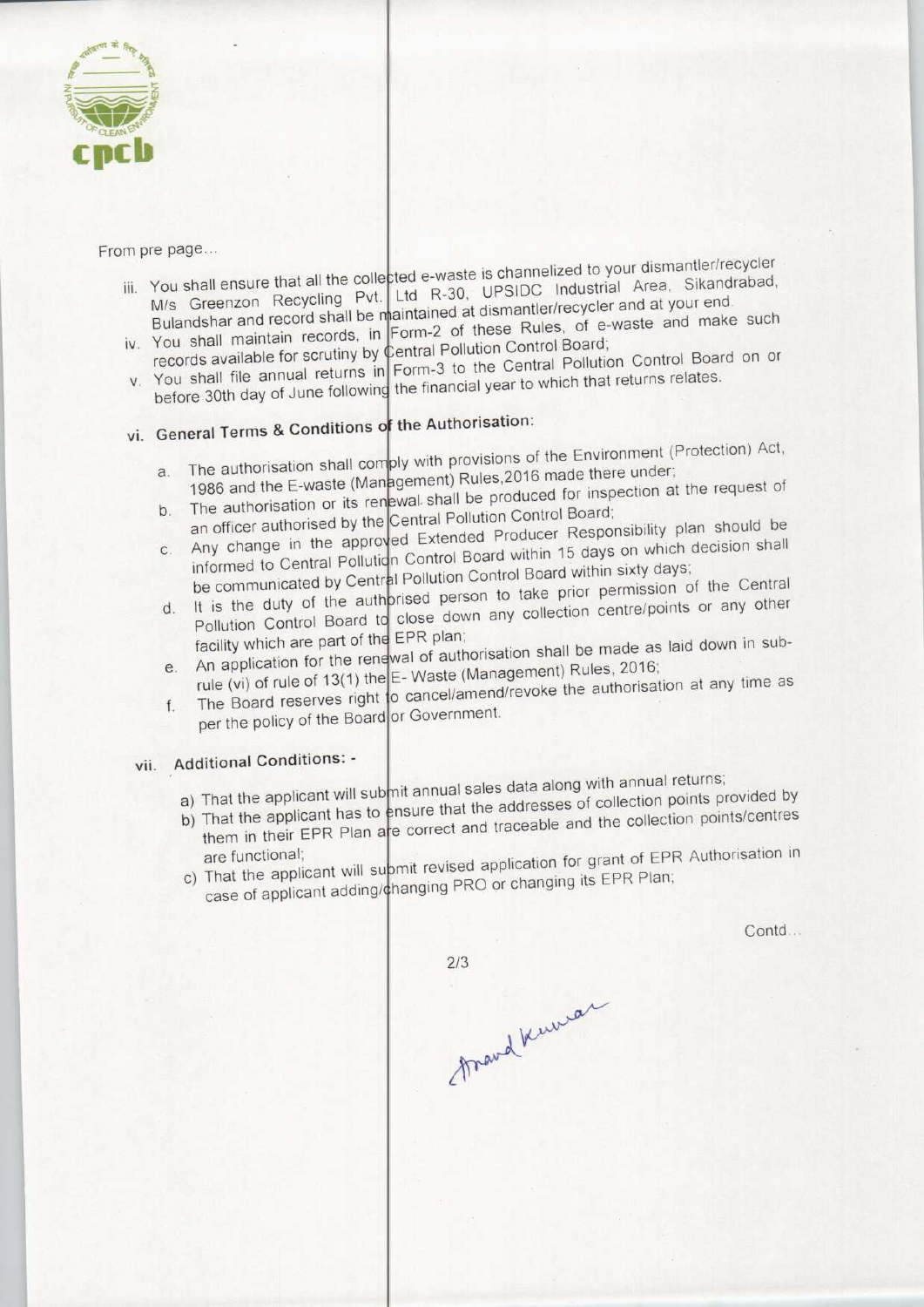

From pre page...

- ii. Pic page... You shall ensure that all the collected e-waste is channelized to your distribution by the M/s Greenzon Recycling Pvt. Ltd R-30, UPSIDC Industrial Area, Sikandrabad, Bulandshar and record shall be maintained at dismantler/recycler and at your end. ivits different record shall be maintained at dismantler/recycler and at your end.<br>Bulandshar and record shall be maintained at these Rules, of e-waste and make such
- You shall maintain records, in Former of the Control Board; records available for scrutiny by Central Pollution Control Board.<br>Form 3 to the Central Pollution Control Board on or
- You shall file annual returns in Form-3 to the German come of the financial year to which that returns relates.
- vi. General Terms & Conditions of the Authorisation:
	- a. The authorisation shall comply with provisions of the Environment (Protection) Act, a. The authorisation shall comply with provisions of the Environment (1 follows)<br>1986 and the E-waste (Management) Rules, 2016 made there under;<br>the request of inspection at the request of
	- b. The authorisation or its renewal shall be produced for inspection at the request of an officer authorised by the Central Pollution Control Board;
	- b. The authorisation or its renewal shall be produced for inspection and the canonical Board;<br>an officer authorised by the Central Pollution Control Board; Any change in the approved Extended Producer Responsibility Production shall
	- informed to Central Pollution Control Board within 15 days on which describe<br>the communicated by Central Pollution Control Board within sixty days;<br>the central pollution Control Board within sixty days; d. It is the duty of the authorised person to take prior permission of the Central<br>Pollution Control Board to close down any collection centre/points or any other
	- facility which are part of the EPR plan; An application for the renewal of authorisation shall be made as laid down in sub-
	- e. An application for the renewal of authorisation shall be made as laid down<br>rule (vi) of rule of 13(1) the E- Waste (Management) Rules, 2016;<br>the authorisation at any time as The Board reserves right to cancel/amend/revoke the authorisation at any time as per the policy of the Board or Government.
	-

# vii. Additional Conditions: -

- a) That the applicant will submit annual sales data along with annual returns;
- a) That the applicant will submit annual sales data along with almuar retains.
- That the applicant has to ensure that the addresses of collection points  $p$  points  $p$ . them in their EPR Plan are correct and traceable and the collection points/centres<br>are functional;<br>c) That the applicant will submit revised application for grant of EPR Authorisation in
- case of applicant adding/changing PRO or changing its EPR Plan;

Contd...

 $2/3$ frand Kuwar